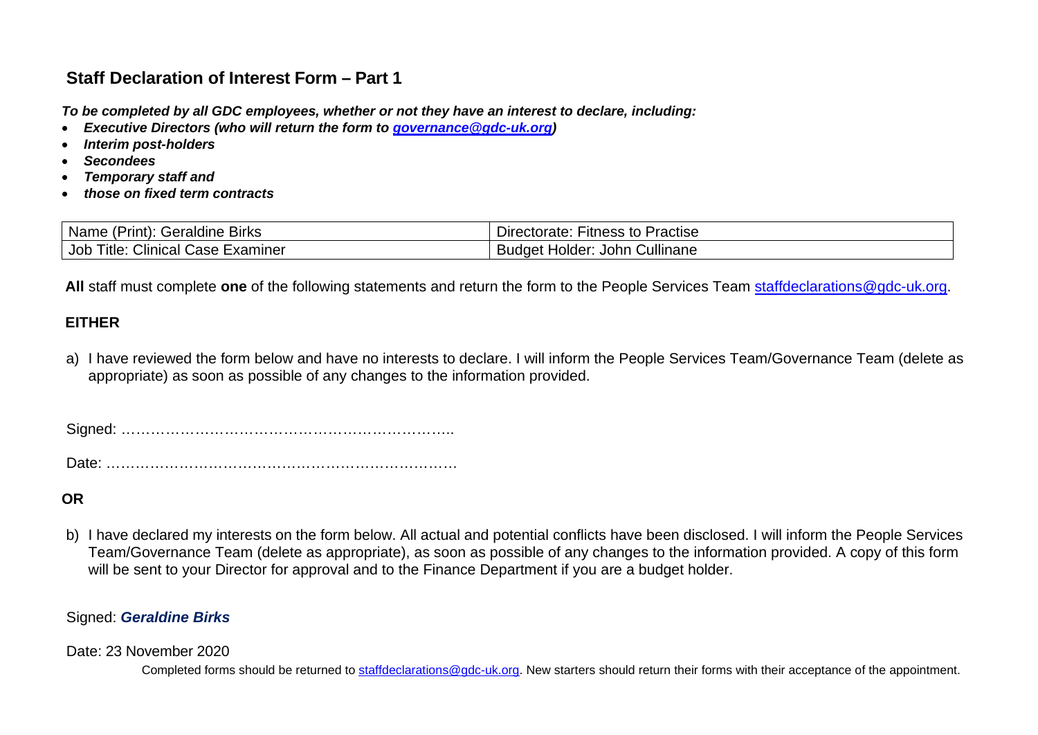# **Staff Declaration of Interest Form – Part 1**

*To be completed by all GDC employees, whether or not they have an interest to declare, including:*

- *Executive Directors (who will return the form to [governance@gdc-uk.org\)](mailto:governance@gdc-uk.org)*
- *Interim post-holders*
- *Secondees*
- *Temporary staff and*
- *those on fixed term contracts*

| $\overline{\phantom{a}}$<br>.<br>Name<br>Geraldine F<br>Print).<br><b>Birks</b> | Practise<br>Directorate:<br>-itness to        |
|---------------------------------------------------------------------------------|-----------------------------------------------|
| $\sim$ $\cdot$<br>Title.<br><i>L</i> inical ان<br>Examiner<br>JOD<br>case       | Cullinane<br>John<br>Holder:<br><b>Buddet</b> |

 **All** staff must complete **one** of the following statements and return the form to the People Services Team [staffdeclarations@gdc-uk.org.](mailto:staffdeclarations@gdc-uk.org)

## **EITHER**

a) I have reviewed the form below and have no interests to declare. I will inform the People Services Team/Governance Team (delete as appropriate) as soon as possible of any changes to the information provided.

Signed: …………………………………………………………..

Date: ………………………………………………………………

**OR**

b) I have declared my interests on the form below. All actual and potential conflicts have been disclosed. I will inform the People Services Team/Governance Team (delete as appropriate), as soon as possible of any changes to the information provided. A copy of this form will be sent to your Director for approval and to the Finance Department if you are a budget holder.

#### Signed: *Geraldine Birks*

#### Date: 23 November 2020

Completed forms should be returned to [staffdeclarations@gdc-uk.org.](mailto:staffdeclarations@gdc-uk.org) New starters should return their forms with their acceptance of the appointment.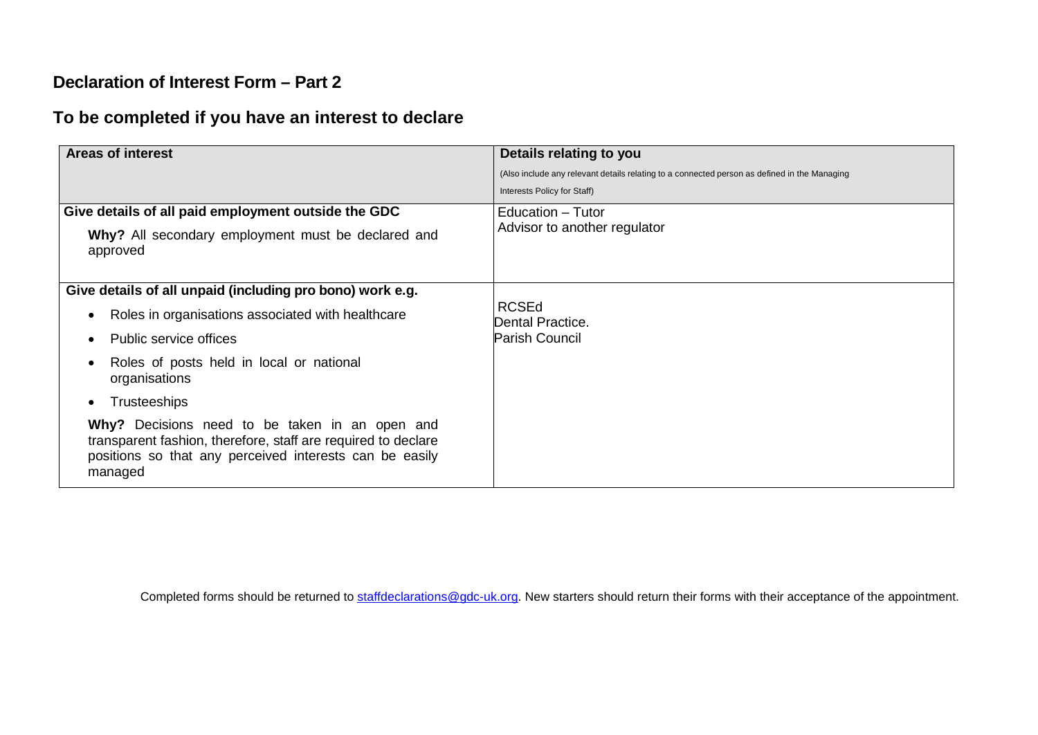## **Declaration of Interest Form – Part 2**

# **To be completed if you have an interest to declare**

| <b>Areas of interest</b>                                                                                                                                                              | Details relating to you                                                                      |
|---------------------------------------------------------------------------------------------------------------------------------------------------------------------------------------|----------------------------------------------------------------------------------------------|
|                                                                                                                                                                                       | (Also include any relevant details relating to a connected person as defined in the Managing |
|                                                                                                                                                                                       | Interests Policy for Staff)                                                                  |
| Give details of all paid employment outside the GDC                                                                                                                                   | Education - Tutor<br>Advisor to another regulator                                            |
| Why? All secondary employment must be declared and<br>approved                                                                                                                        |                                                                                              |
| Give details of all unpaid (including pro bono) work e.g.                                                                                                                             |                                                                                              |
| Roles in organisations associated with healthcare<br>$\bullet$                                                                                                                        | <b>RCSEd</b><br><b>Dental Practice.</b>                                                      |
| Public service offices                                                                                                                                                                | Parish Council                                                                               |
| Roles of posts held in local or national<br>organisations                                                                                                                             |                                                                                              |
| <b>Trusteeships</b><br>٠                                                                                                                                                              |                                                                                              |
| Why? Decisions need to be taken in an open and<br>transparent fashion, therefore, staff are required to declare<br>positions so that any perceived interests can be easily<br>managed |                                                                                              |

Completed forms should be returned to [staffdeclarations@gdc-uk.org.](mailto:staffdeclarations@gdc-uk.org) New starters should return their forms with their acceptance of the appointment.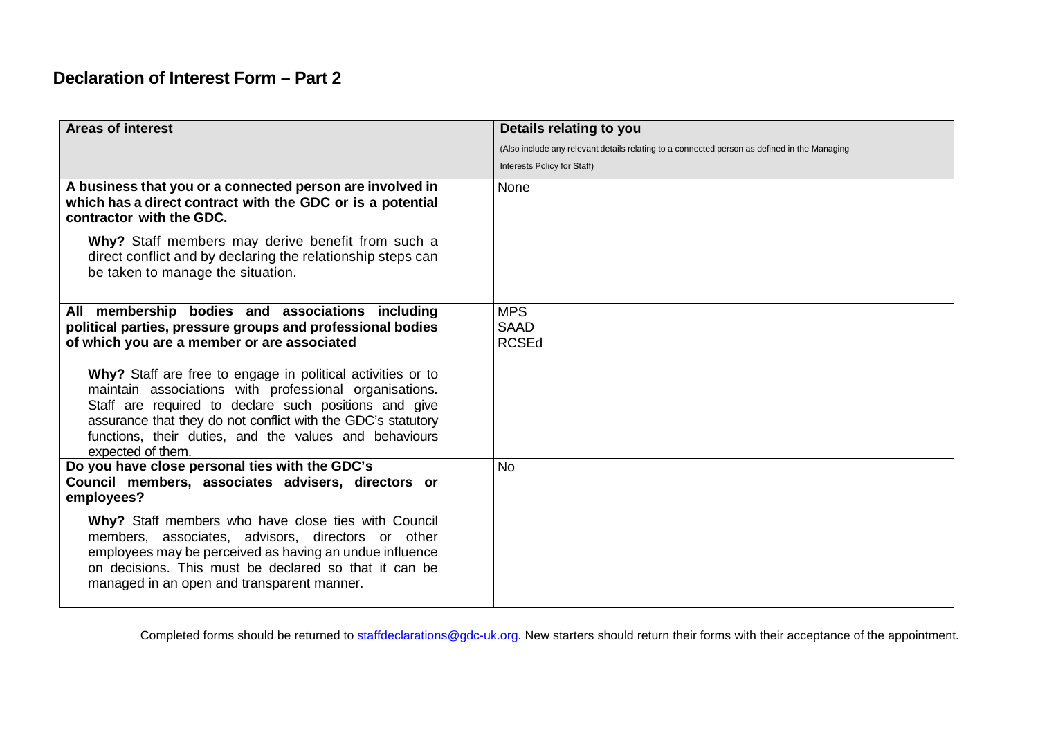# **Declaration of Interest Form – Part 2**

| <b>Areas of interest</b>                                                                                                                                                                                                                                                                                                      | Details relating to you                                                                      |
|-------------------------------------------------------------------------------------------------------------------------------------------------------------------------------------------------------------------------------------------------------------------------------------------------------------------------------|----------------------------------------------------------------------------------------------|
|                                                                                                                                                                                                                                                                                                                               | (Also include any relevant details relating to a connected person as defined in the Managing |
|                                                                                                                                                                                                                                                                                                                               | Interests Policy for Staff)                                                                  |
| A business that you or a connected person are involved in<br>which has a direct contract with the GDC or is a potential<br>contractor with the GDC.                                                                                                                                                                           | None                                                                                         |
| Why? Staff members may derive benefit from such a<br>direct conflict and by declaring the relationship steps can<br>be taken to manage the situation.                                                                                                                                                                         |                                                                                              |
| All membership bodies and associations including<br>political parties, pressure groups and professional bodies<br>of which you are a member or are associated                                                                                                                                                                 | <b>MPS</b><br><b>SAAD</b><br><b>RCSEd</b>                                                    |
| Why? Staff are free to engage in political activities or to<br>maintain associations with professional organisations.<br>Staff are required to declare such positions and give<br>assurance that they do not conflict with the GDC's statutory<br>functions, their duties, and the values and behaviours<br>expected of them. |                                                                                              |
| Do you have close personal ties with the GDC's<br>Council members, associates advisers, directors or<br>employees?                                                                                                                                                                                                            | <b>No</b>                                                                                    |
| Why? Staff members who have close ties with Council<br>members, associates, advisors, directors or other<br>employees may be perceived as having an undue influence<br>on decisions. This must be declared so that it can be<br>managed in an open and transparent manner.                                                    |                                                                                              |

Completed forms should be returned to [staffdeclarations@gdc-uk.org.](mailto:staffdeclarations@gdc-uk.org) New starters should return their forms with their acceptance of the appointment.